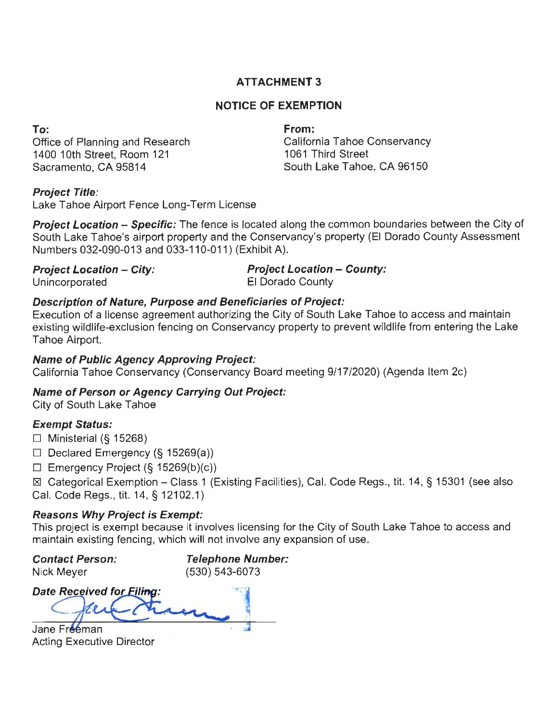## **ATTACHMENT 3**

## **NOTICE OF EXEMPTION**

**To:** 

Office of Planning and Research 1400 10th Street, Room 121 Sacramento, CA 95814

**From:** 

California Tahoe Conservancy 1061 Third Street South Lake Tahoe, CA 96150

### **Project Title:**

Lake Tahoe Airport Fence Long-Term License

**Project Location – Specific:** The fence is located along the common boundaries between the City of South Lake Tahoe's airport property and the Conservancy's property (El Dorado County Assessment Numbers 032-090-013 and 033-110-011) (Exhibit A).

**Project Location - City: Project Location - County:** 

Unincorporated El Dorado County

### **Description of Nature, Purpose and Beneficiaries of Project:**

Execution of a license agreement authorizing the City of South Lake Tahoe to access and maintain existing wildlife-exclusion fencing on Conservancy property to prevent wildlife from entering the Lake Tahoe Airport.

### **Name of Public Agency Approving Project:**

California Tahoe Conservancy (Conservancy Board meeting 9/17/2020) (Agenda Item 2c)

# **Name of Person or Agency Carrying Out Project:**

City of South Lake Tahoe

## **Exempt Status:**

 $\Box$  Ministerial (§ 15268)

- $\Box$  Declared Emergency (§ 15269(a))
- $\Box$  Emergency Project (§ 15269(b)(c))

~ Categorical Exemption - Class 1 (Existing Facilities), Cal. Code Regs., tit. 14, § 15301 (see also Cal. Code Regs., tit. 14, § 12102.1)

## **Reasons Why Project is Exempt:**

This project is exempt because it involves licensing for the City of South Lake Tahoe to access and maintain existing fencing, which will not involve any expansion of use.

**Contact Person:**  Nick Meyer

**Telephone Number:**  (530) 543-6073

**Date Received for Filing:** 

Jane Freeman Acting Executive Director